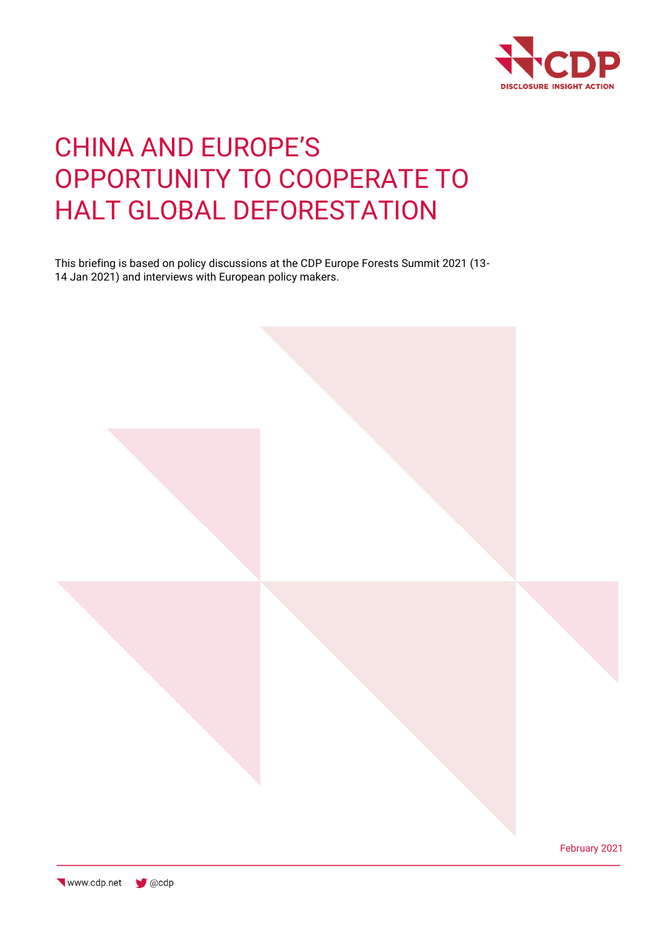

# CHINA AND EUROPE'S OPPORTUNITY TO COOPERATE TO HALT GLOBAL DEFORESTATION

This briefing is based on policy discussions at the CDP Europe Forests Summit 2021 (13- 14 Jan 2021) and interviews with European policy makers.

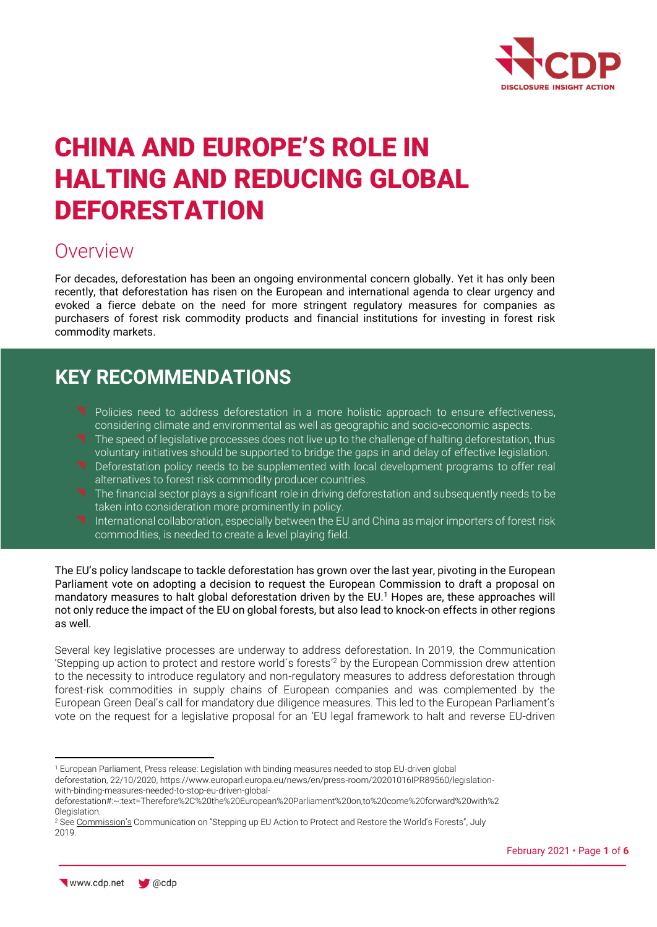

# CHINA AND EUROPE'S ROLE IN HALTING AND REDUCING GLOBAL DEFORESTATION

## Overview

For decades, deforestation has been an ongoing environmental concern globally. Yet it has only been recently, that deforestation has risen on the European and international agenda to clear urgency and evoked a fierce debate on the need for more stringent regulatory measures for companies as purchasers of forest risk commodity products and financial institutions for investing in forest risk commodity markets.

## **KEY RECOMMENDATIONS**

- Policies need to address deforestation in a more holistic approach to ensure effectiveness, considering climate and environmental as well as geographic and socio-economic aspects.
- The speed of legislative processes does not live up to the challenge of halting deforestation, thus voluntary initiatives should be supported to bridge the gaps in and delay of effective legislation.
- **T** Deforestation policy needs to be supplemented with local development programs to offer real alternatives to forest risk commodity producer countries.
- The financial sector plays a significant role in driving deforestation and subsequently needs to be taken into consideration more prominently in policy.
- International collaboration, especially between the EU and China as major importers of forest risk commodities, is needed to create a level playing field.

The EU's policy landscape to tackle deforestation has grown over the last year, pivoting in the European Parliament vote on adopting a decision to request the European Commission to draft a proposal on mandatory measures to halt global deforestation driven by the EU.<sup>1</sup> Hopes are, these approaches will not only reduce the impact of the EU on global forests, but also lead to knock-on effects in other regions as well.

Several key legislative processes are underway to address deforestation. In 2019, the Communication 'Stepping up action to protect and restore world´s forests' <sup>2</sup> by the European Commission drew attention to the necessity to introduce regulatory and non-regulatory measures to address deforestation through forest-risk commodities in supply chains of European companies and was complemented by the European Green Deal's call for mandatory due diligence measures. This led to the European Parliament's vote on the request for a legislative proposal for an 'EU legal framework to halt and reverse EU-driven

<sup>1</sup> European Parliament, Press release: Legislation with binding measures needed to stop EU-driven global

deforestation, 22/10/2020, https://www.europarl.europa.eu/news/en/press-room/20201016IPR89560/legislationwith-binding-measures-needed-to-stop-eu-driven-global-

deforestation#:~:text=Therefore%2C%20the%20European%20Parliament%20on,to%20come%20forward%20with%2 0legislation.

<sup>&</sup>lt;sup>2</sup> See [Commission's](https://ec.europa.eu/info/sites/info/files/communication-eu-action-protect-restore-forests_en.pdf) Communication on "Stepping up EU Action to Protect and Restore the World's Forests", July 2019.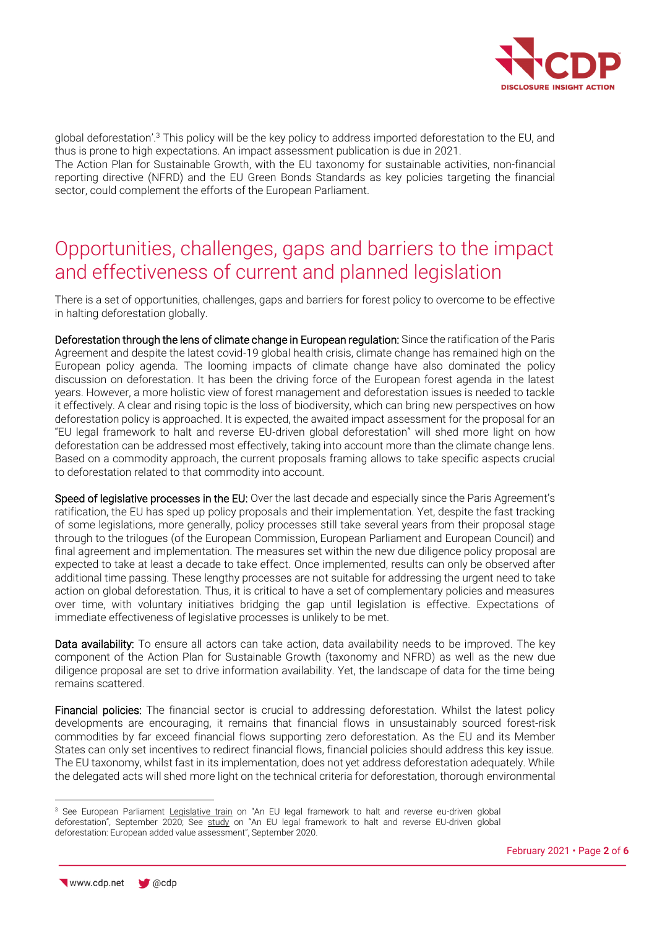

global deforestation'.<sup>3</sup> This policy will be the key policy to address imported deforestation to the EU, and thus is prone to high expectations. An impact assessment publication is due in 2021.

The Action Plan for Sustainable Growth, with the EU taxonomy for sustainable activities, non-financial reporting directive (NFRD) and the EU Green Bonds Standards as key policies targeting the financial sector, could complement the efforts of the European Parliament.

## Opportunities, challenges, gaps and barriers to the impact and effectiveness of current and planned legislation

There is a set of opportunities, challenges, gaps and barriers for forest policy to overcome to be effective in halting deforestation globally.

Deforestation through the lens of climate change in European regulation: Since the ratification of the Paris Agreement and despite the latest covid-19 global health crisis, climate change has remained high on the European policy agenda. The looming impacts of climate change have also dominated the policy discussion on deforestation. It has been the driving force of the European forest agenda in the latest years. However, a more holistic view of forest management and deforestation issues is needed to tackle it effectively. A clear and rising topic is the loss of biodiversity, which can bring new perspectives on how deforestation policy is approached. It is expected, the awaited impact assessment for the proposal for an "EU legal framework to halt and reverse EU-driven global deforestation" will shed more light on how deforestation can be addressed most effectively, taking into account more than the climate change lens. Based on a commodity approach, the current proposals framing allows to take specific aspects crucial to deforestation related to that commodity into account.

Speed of legislative processes in the EU: Over the last decade and especially since the Paris Agreement's ratification, the EU has sped up policy proposals and their implementation. Yet, despite the fast tracking of some legislations, more generally, policy processes still take several years from their proposal stage through to the trilogues (of the European Commission, European Parliament and European Council) and final agreement and implementation. The measures set within the new due diligence policy proposal are expected to take at least a decade to take effect. Once implemented, results can only be observed after additional time passing. These lengthy processes are not suitable for addressing the urgent need to take action on global deforestation. Thus, it is critical to have a set of complementary policies and measures over time, with voluntary initiatives bridging the gap until legislation is effective. Expectations of immediate effectiveness of legislative processes is unlikely to be met.

Data availability: To ensure all actors can take action, data availability needs to be improved. The key component of the Action Plan for Sustainable Growth (taxonomy and NFRD) as well as the new due diligence proposal are set to drive information availability. Yet, the landscape of data for the time being remains scattered.

Financial policies: The financial sector is crucial to addressing deforestation. Whilst the latest policy developments are encouraging, it remains that financial flows in unsustainably sourced forest-risk commodities by far exceed financial flows supporting zero deforestation. As the EU and its Member States can only set incentives to redirect financial flows, financial policies should address this key issue. The EU taxonomy, whilst fast in its implementation, does not yet address deforestation adequately. While the delegated acts will shed more light on the technical criteria for deforestation, thorough environmental

<sup>&</sup>lt;sup>3</sup> See European Parliament [Legislative train](https://www.europarl.europa.eu/legislative-train/api/stages/report/current/theme/international-trade-inta/file/eu-driven-global-deforestation) on "An EU legal framework to halt and reverse eu-driven global deforestation", September 2020; See [study](https://www.europarl.europa.eu/thinktank/en/document.html?reference=EPRS_STU(2020)654174) on "An EU legal framework to halt and reverse EU-driven global deforestation: European added value assessment", September 2020.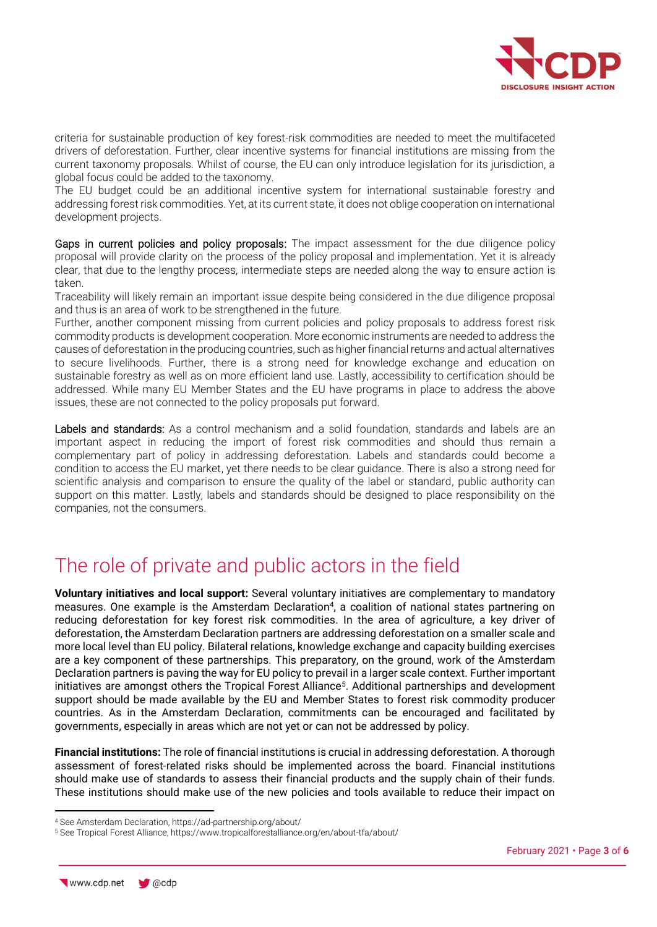

criteria for sustainable production of key forest-risk commodities are needed to meet the multifaceted drivers of deforestation. Further, clear incentive systems for financial institutions are missing from the current taxonomy proposals. Whilst of course, the EU can only introduce legislation for its jurisdiction, a global focus could be added to the taxonomy.

The EU budget could be an additional incentive system for international sustainable forestry and addressing forest risk commodities. Yet, at its current state, it does not oblige cooperation on international development projects.

Gaps in current policies and policy proposals: The impact assessment for the due diligence policy proposal will provide clarity on the process of the policy proposal and implementation. Yet it is already clear, that due to the lengthy process, intermediate steps are needed along the way to ensure action is taken.

Traceability will likely remain an important issue despite being considered in the due diligence proposal and thus is an area of work to be strengthened in the future.

Further, another component missing from current policies and policy proposals to address forest risk commodity products is development cooperation. More economic instruments are needed to address the causes of deforestation in the producing countries, such as higher financial returns and actual alternatives to secure livelihoods. Further, there is a strong need for knowledge exchange and education on sustainable forestry as well as on more efficient land use. Lastly, accessibility to certification should be addressed. While many EU Member States and the EU have programs in place to address the above issues, these are not connected to the policy proposals put forward.

Labels and standards: As a control mechanism and a solid foundation, standards and labels are an important aspect in reducing the import of forest risk commodities and should thus remain a complementary part of policy in addressing deforestation. Labels and standards could become a condition to access the EU market, yet there needs to be clear guidance. There is also a strong need for scientific analysis and comparison to ensure the quality of the label or standard, public authority can support on this matter. Lastly, labels and standards should be designed to place responsibility on the companies, not the consumers.

## The role of private and public actors in the field

**Voluntary initiatives and local support:** Several voluntary initiatives are complementary to mandatory measures. One example is the Amsterdam Declaration<sup>4</sup>, a coalition of national states partnering on reducing deforestation for key forest risk commodities. In the area of agriculture, a key driver of deforestation, the Amsterdam Declaration partners are addressing deforestation on a smaller scale and more local level than EU policy. Bilateral relations, knowledge exchange and capacity building exercises are a key component of these partnerships. This preparatory, on the ground, work of the Amsterdam Declaration partners is paving the way for EU policy to prevail in a larger scale context. Further important initiatives are amongst others the Tropical Forest Alliance<sup>5</sup>. Additional partnerships and development support should be made available by the EU and Member States to forest risk commodity producer countries. As in the Amsterdam Declaration, commitments can be encouraged and facilitated by governments, especially in areas which are not yet or can not be addressed by policy.

**Financial institutions:** The role of financial institutions is crucial in addressing deforestation. A thorough assessment of forest-related risks should be implemented across the board. Financial institutions should make use of standards to assess their financial products and the supply chain of their funds. These institutions should make use of the new policies and tools available to reduce their impact on

<sup>4</sup> See Amsterdam Declaration, https://ad-partnership.org/about/

<sup>5</sup> See Tropical Forest Alliance, https://www.tropicalforestalliance.org/en/about-tfa/about/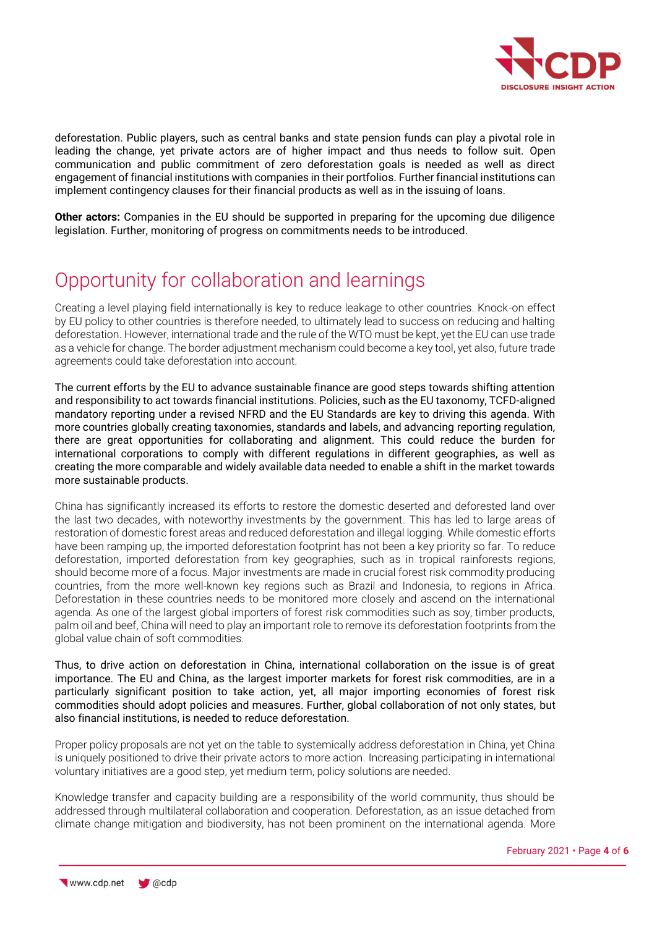

deforestation. Public players, such as central banks and state pension funds can play a pivotal role in leading the change, yet private actors are of higher impact and thus needs to follow suit. Open communication and public commitment of zero deforestation goals is needed as well as direct engagement of financial institutions with companies in their portfolios. Further financial institutions can implement contingency clauses for their financial products as well as in the issuing of loans.

**Other actors:** Companies in the EU should be supported in preparing for the upcoming due diligence legislation. Further, monitoring of progress on commitments needs to be introduced.

## Opportunity for collaboration and learnings

Creating a level playing field internationally is key to reduce leakage to other countries. Knock-on effect by EU policy to other countries is therefore needed, to ultimately lead to success on reducing and halting deforestation. However, international trade and the rule of the WTO must be kept, yet the EU can use trade as a vehicle for change. The border adjustment mechanism could become a key tool, yet also, future trade agreements could take deforestation into account.

The current efforts by the EU to advance sustainable finance are good steps towards shifting attention and responsibility to act towards financial institutions. Policies, such as the EU taxonomy, TCFD-aligned mandatory reporting under a revised NFRD and the EU Standards are key to driving this agenda. With more countries globally creating taxonomies, standards and labels, and advancing reporting regulation, there are great opportunities for collaborating and alignment. This could reduce the burden for international corporations to comply with different regulations in different geographies, as well as creating the more comparable and widely available data needed to enable a shift in the market towards more sustainable products.

China has significantly increased its efforts to restore the domestic deserted and deforested land over the last two decades, with noteworthy investments by the government. This has led to large areas of restoration of domestic forest areas and reduced deforestation and illegal logging. While domestic efforts have been ramping up, the imported deforestation footprint has not been a key priority so far. To reduce deforestation, imported deforestation from key geographies, such as in tropical rainforests regions, should become more of a focus. Major investments are made in crucial forest risk commodity producing countries, from the more well-known key regions such as Brazil and Indonesia, to regions in Africa. Deforestation in these countries needs to be monitored more closely and ascend on the international agenda. As one of the largest global importers of forest risk commodities such as soy, timber products, palm oil and beef, China will need to play an important role to remove its deforestation footprints from the global value chain of soft commodities.

Thus, to drive action on deforestation in China, international collaboration on the issue is of great importance. The EU and China, as the largest importer markets for forest risk commodities, are in a particularly significant position to take action, yet, all major importing economies of forest risk commodities should adopt policies and measures. Further, global collaboration of not only states, but also financial institutions, is needed to reduce deforestation.

Proper policy proposals are not yet on the table to systemically address deforestation in China, yet China is uniquely positioned to drive their private actors to more action. Increasing participating in international voluntary initiatives are a good step, yet medium term, policy solutions are needed.

Knowledge transfer and capacity building are a responsibility of the world community, thus should be addressed through multilateral collaboration and cooperation. Deforestation, as an issue detached from climate change mitigation and biodiversity, has not been prominent on the international agenda. More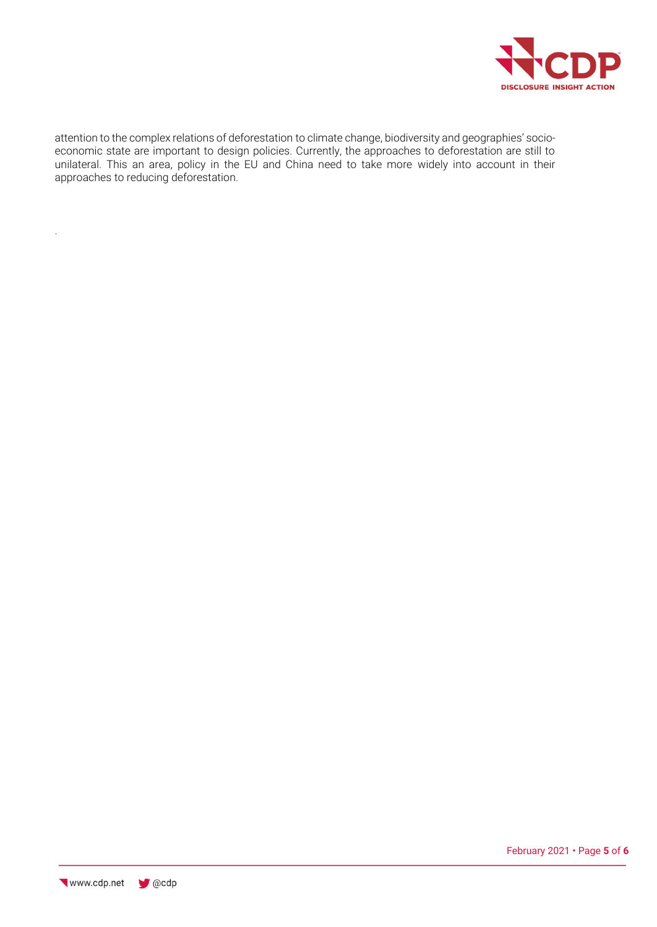

attention to the complex relations of deforestation to climate change, biodiversity and geographies' socioeconomic state are important to design policies. Currently, the approaches to deforestation are still to unilateral. This an area, policy in the EU and China need to take more widely into account in their approaches to reducing deforestation.

.